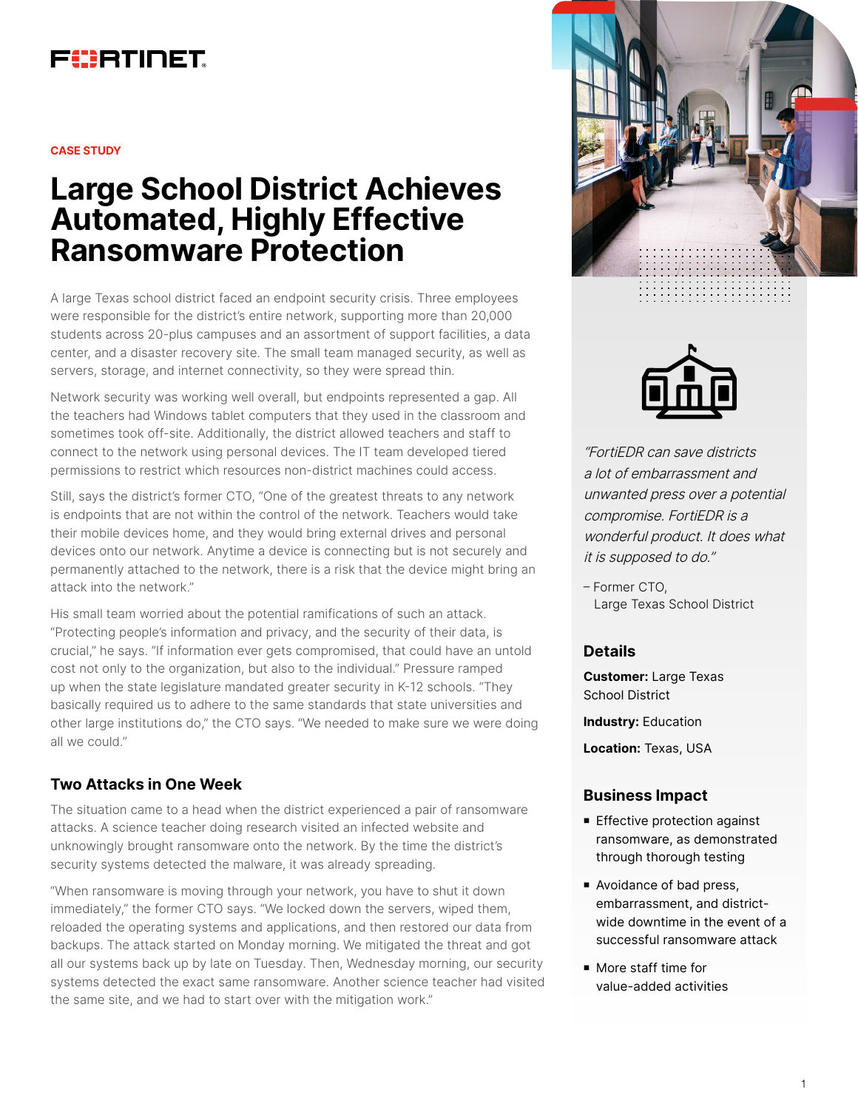

**CASE STUDY**

# **Large School District Achieves Automated, Highly Effective Ransomware Protection**

A large Texas school district faced an endpoint security crisis. Three employees were responsible for the district's entire network, supporting more than 20,000 students across 20-plus campuses and an assortment of support facilities, a data center, and a disaster recovery site. The small team managed security, as well as servers, storage, and internet connectivity, so they were spread thin.

Network security was working well overall, but endpoints represented a gap. All the teachers had Windows tablet computers that they used in the classroom and sometimes took off-site. Additionally, the district allowed teachers and staff to connect to the network using personal devices. The IT team developed tiered permissions to restrict which resources non-district machines could access.

Still, says the district's former CTO, "One of the greatest threats to any network is endpoints that are not within the control of the network. Teachers would take their mobile devices home, and they would bring external drives and personal devices onto our network. Anytime a device is connecting but is not securely and permanently attached to the network, there is a risk that the device might bring an attack into the network."

His small team worried about the potential ramifications of such an attack. "Protecting people's information and privacy, and the security of their data, is crucial," he says. "If information ever gets compromised, that could have an untold cost not only to the organization, but also to the individual." Pressure ramped up when the state legislature mandated greater security in K-12 schools. "They basically required us to adhere to the same standards that state universities and other large institutions do," the CTO says. "We needed to make sure we were doing all we could."

## **Two Attacks in One Week**

The situation came to a head when the district experienced a pair of ransomware attacks. A science teacher doing research visited an infected website and unknowingly brought ransomware onto the network. By the time the district's security systems detected the malware, it was already spreading.

"When ransomware is moving through your network, you have to shut it down immediately," the former CTO says. "We locked down the servers, wiped them, reloaded the operating systems and applications, and then restored our data from backups. The attack started on Monday morning. We mitigated the threat and got all our systems back up by late on Tuesday. Then, Wednesday morning, our security systems detected the exact same ransomware. Another science teacher had visited the same site, and we had to start over with the mitigation work."





"FortiEDR can save districts a lot of embarrassment and unwanted press over a potential compromise. FortiEDR is a wonderful product. It does what it is supposed to do."

– Former CTO, Large Texas School District

#### **Details**

**Customer:** Large Texas School District

**Industry:** Education

**Location:** Texas, USA

#### **Business Impact**

- **Effective protection against** ransomware, as demonstrated through thorough testing
- Avoidance of bad press, embarrassment, and districtwide downtime in the event of a successful ransomware attack
- More staff time for value-added activities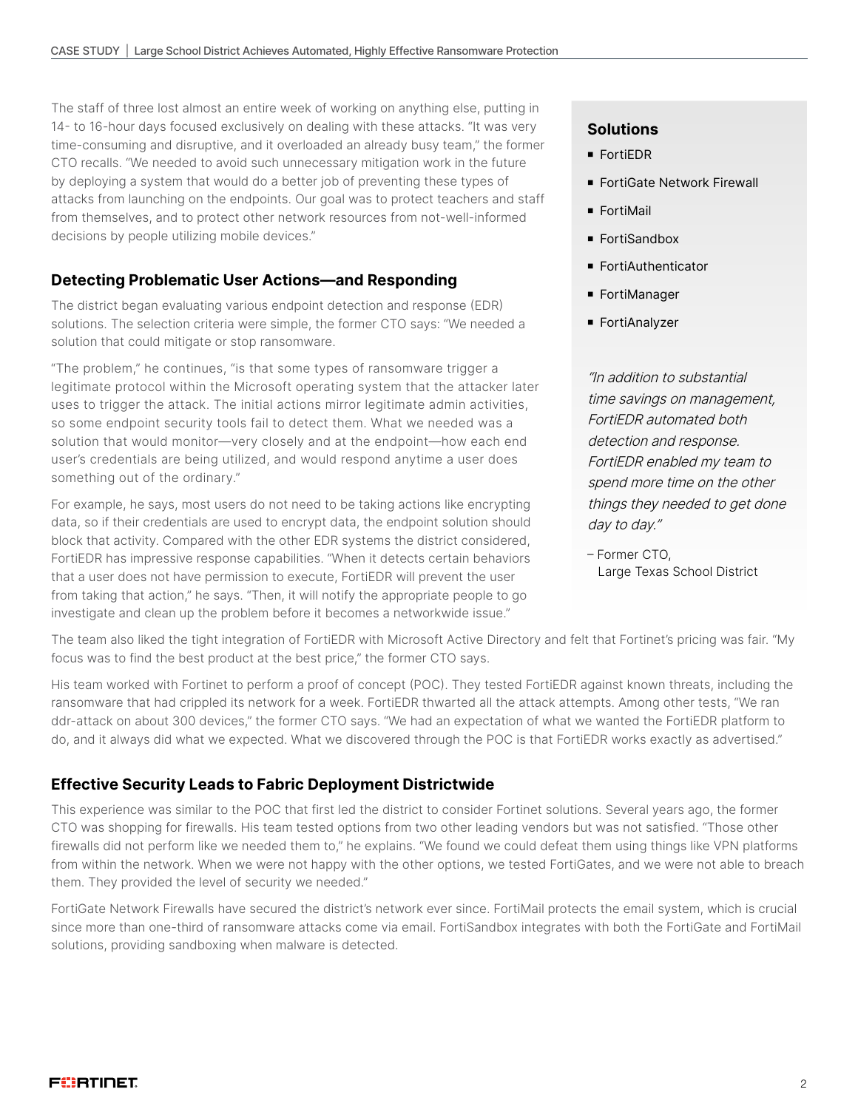The staff of three lost almost an entire week of working on anything else, putting in 14- to 16-hour days focused exclusively on dealing with these attacks. "It was very time-consuming and disruptive, and it overloaded an already busy team," the former CTO recalls. "We needed to avoid such unnecessary mitigation work in the future by deploying a system that would do a better job of preventing these types of attacks from launching on the endpoints. Our goal was to protect teachers and staff from themselves, and to protect other network resources from not-well-informed decisions by people utilizing mobile devices."

#### **Detecting Problematic User Actions—and Responding**

The district began evaluating various endpoint detection and response (EDR) solutions. The selection criteria were simple, the former CTO says: "We needed a solution that could mitigate or stop ransomware.

"The problem," he continues, "is that some types of ransomware trigger a legitimate protocol within the Microsoft operating system that the attacker later uses to trigger the attack. The initial actions mirror legitimate admin activities, so some endpoint security tools fail to detect them. What we needed was a solution that would monitor—very closely and at the endpoint—how each end user's credentials are being utilized, and would respond anytime a user does something out of the ordinary."

For example, he says, most users do not need to be taking actions like encrypting data, so if their credentials are used to encrypt data, the endpoint solution should block that activity. Compared with the other EDR systems the district considered, FortiEDR has impressive response capabilities. "When it detects certain behaviors that a user does not have permission to execute, FortiEDR will prevent the user from taking that action," he says. "Then, it will notify the appropriate people to go investigate and clean up the problem before it becomes a networkwide issue."

#### **Solutions**

- **FortiEDR**
- **FortiGate Network Firewall**
- **FortiMail**
- FortiSandbox
- FortiAuthenticator
- **FortiManager**
- FortiAnalyzer

"In addition to substantial time savings on management, FortiEDR automated both detection and response. FortiEDR enabled my team to spend more time on the other things they needed to get done day to day."

– Former CTO, Large Texas School District

The team also liked the tight integration of FortiEDR with Microsoft Active Directory and felt that Fortinet's pricing was fair. "My focus was to find the best product at the best price," the former CTO says.

His team worked with Fortinet to perform a proof of concept (POC). They tested FortiEDR against known threats, including the ransomware that had crippled its network for a week. FortiEDR thwarted all the attack attempts. Among other tests, "We ran ddr-attack on about 300 devices," the former CTO says. "We had an expectation of what we wanted the FortiEDR platform to do, and it always did what we expected. What we discovered through the POC is that FortiEDR works exactly as advertised."

#### **Effective Security Leads to Fabric Deployment Districtwide**

This experience was similar to the POC that first led the district to consider Fortinet solutions. Several years ago, the former CTO was shopping for firewalls. His team tested options from two other leading vendors but was not satisfied. "Those other firewalls did not perform like we needed them to," he explains. "We found we could defeat them using things like VPN platforms from within the network. When we were not happy with the other options, we tested FortiGates, and we were not able to breach them. They provided the level of security we needed."

FortiGate Network Firewalls have secured the district's network ever since. FortiMail protects the email system, which is crucial since more than one-third of ransomware attacks come via email. FortiSandbox integrates with both the FortiGate and FortiMail solutions, providing sandboxing when malware is detected.